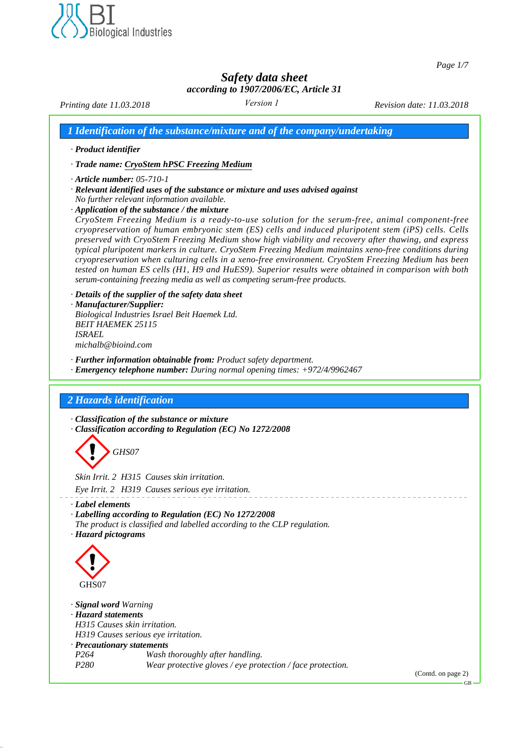

*Page 1/7*

## *Safety data sheet according to 1907/2006/EC, Article 31*

*Version 1*

*Printing date 11.03.2018 Revision date: 11.03.2018*

*1 Identification of the substance/mixture and of the company/undertaking*

*· Product identifier*

*· Trade name: CryoStem hPSC Freezing Medium*

- *· Article number: 05-710-1*
- *· Relevant identified uses of the substance or mixture and uses advised against No further relevant information available.*
- *· Application of the substance / the mixture*

*CryoStem Freezing Medium is a ready-to-use solution for the serum-free, animal component-free cryopreservation of human embryonic stem (ES) cells and induced pluripotent stem (iPS) cells. Cells preserved with CryoStem Freezing Medium show high viability and recovery after thawing, and express typical pluripotent markers in culture. CryoStem Freezing Medium maintains xeno-free conditions during cryopreservation when culturing cells in a xeno-free environment. CryoStem Freezing Medium has been tested on human ES cells (H1, H9 and HuES9). Superior results were obtained in comparison with both serum-containing freezing media as well as competing serum-free products.*

*· Details of the supplier of the safety data sheet · Manufacturer/Supplier: Biological Industries Israel Beit Haemek Ltd. BEIT HAEMEK 25115 ISRAEL michalb@bioind.com*

*· Further information obtainable from: Product safety department.*

*· Emergency telephone number: During normal opening times: +972/4/9962467*

## *2 Hazards identification*

*· Classification of the substance or mixture · Classification according to Regulation (EC) No 1272/2008*



*Skin Irrit. 2 H315 Causes skin irritation. Eye Irrit. 2 H319 Causes serious eye irritation.*

- *· Label elements*
- *· Labelling according to Regulation (EC) No 1272/2008 The product is classified and labelled according to the CLP regulation.*
- *· Hazard pictograms*



*· Signal word Warning*

*· Hazard statements*

*H315 Causes skin irritation.*

- *H319 Causes serious eye irritation.*
- *· Precautionary statements P264 Wash thoroughly after handling. Wear protective gloves / eye protection / face protection.*

(Contd. on page 2)

GB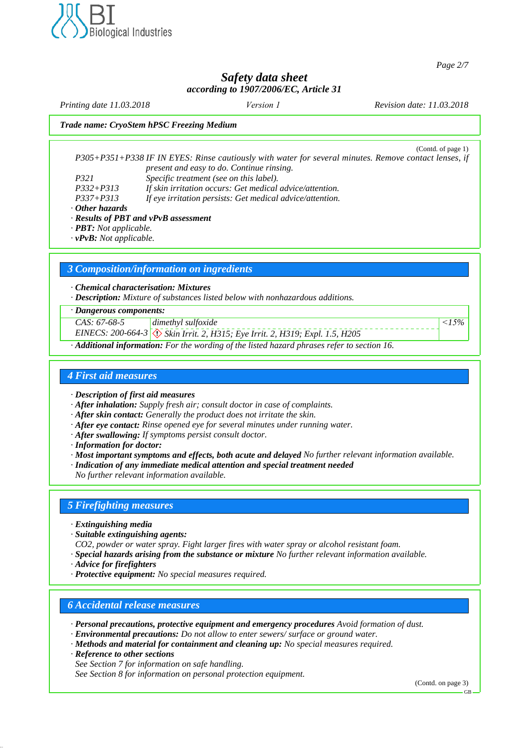

*Page 2/7*

## *Safety data sheet according to 1907/2006/EC, Article 31*

*Version 1*

*Printing date 11.03.2018 Revision date: 11.03.2018 Trade name: CryoStem hPSC Freezing Medium* (Contd. of page 1) *P305+P351+P338 IF IN EYES: Rinse cautiously with water for several minutes. Remove contact lenses, if present and easy to do. Continue rinsing. P321 Specific treatment (see on this label). P332+P313 If skin irritation occurs: Get medical advice/attention. P337+P313 If eye irritation persists: Get medical advice/attention. · Other hazards · Results of PBT and vPvB assessment · PBT: Not applicable. · vPvB: Not applicable. 3 Composition/information on ingredients · Chemical characterisation: Mixtures · Description: Mixture of substances listed below with nonhazardous additions. · Dangerous components: CAS: 67-68-5 dimethyl sulfoxide <15%*

*EINECS: 200-664-3* d~ *Skin Irrit. 2, H315; Eye Irrit. 2, H319; Expl. 1.5, H205*

*· Additional information: For the wording of the listed hazard phrases refer to section 16.*

### *4 First aid measures*

*· Description of first aid measures*

- *· After inhalation: Supply fresh air; consult doctor in case of complaints.*
- *· After skin contact: Generally the product does not irritate the skin.*
- *· After eye contact: Rinse opened eye for several minutes under running water.*
- *· After swallowing: If symptoms persist consult doctor.*
- *· Information for doctor:*
- *· Most important symptoms and effects, both acute and delayed No further relevant information available.*
- *· Indication of any immediate medical attention and special treatment needed*

*No further relevant information available.*

#### *5 Firefighting measures*

- *· Extinguishing media*
- *· Suitable extinguishing agents:*
- *CO2, powder or water spray. Fight larger fires with water spray or alcohol resistant foam.*
- *· Special hazards arising from the substance or mixture No further relevant information available.*
- *· Advice for firefighters*
- *· Protective equipment: No special measures required.*

## *6 Accidental release measures*

- *· Personal precautions, protective equipment and emergency procedures Avoid formation of dust.*
- *· Environmental precautions: Do not allow to enter sewers/ surface or ground water.*
- *· Methods and material for containment and cleaning up: No special measures required.*
- *· Reference to other sections*
- *See Section 7 for information on safe handling.*

*See Section 8 for information on personal protection equipment.*

(Contd. on page 3)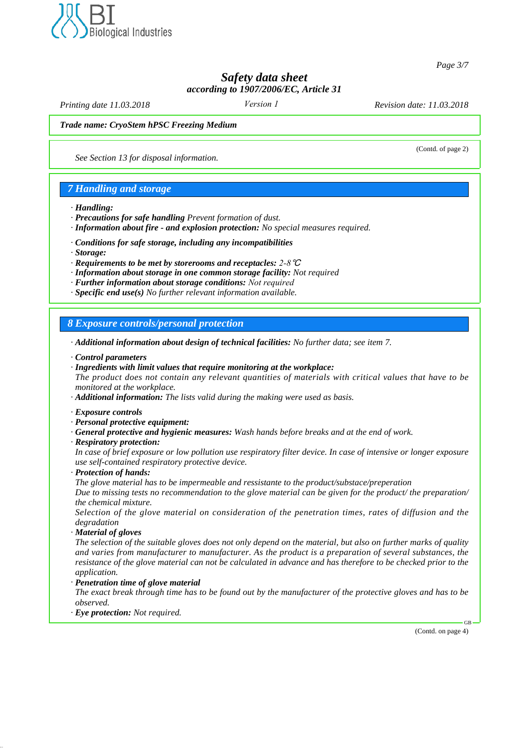

*Page 3/7*

(Contd. of page 2)

*Safety data sheet according to 1907/2006/EC, Article 31*

*Version 1*

*Printing date 11.03.2018 Revision date: 11.03.2018*

#### *Trade name: CryoStem hPSC Freezing Medium*

*See Section 13 for disposal information.*

### *7 Handling and storage*

#### *· Handling:*

- *· Precautions for safe handling Prevent formation of dust.*
- *· Information about fire and explosion protection: No special measures required.*
- *· Conditions for safe storage, including any incompatibilities*
- *· Storage:*
- *· Requirements to be met by storerooms and receptacles: 2-8*℃
- *· Information about storage in one common storage facility: Not required*
- *· Further information about storage conditions: Not required*
- *· Specific end use(s) No further relevant information available.*

*8 Exposure controls/personal protection*

- *· Additional information about design of technical facilities: No further data; see item 7.*
- *· Control parameters*
- *· Ingredients with limit values that require monitoring at the workplace:*

*The product does not contain any relevant quantities of materials with critical values that have to be monitored at the workplace.*

*· Additional information: The lists valid during the making were used as basis.*

- *· Exposure controls*
- *· Personal protective equipment:*
- *· General protective and hygienic measures: Wash hands before breaks and at the end of work.*
- *· Respiratory protection:*

*In case of brief exposure or low pollution use respiratory filter device. In case of intensive or longer exposure use self-contained respiratory protective device.*

*· Protection of hands:*

*The glove material has to be impermeable and ressistante to the product/substace/preperation*

*Due to missing tests no recommendation to the glove material can be given for the product/ the preparation/ the chemical mixture.*

*Selection of the glove material on consideration of the penetration times, rates of diffusion and the degradation*

*· Material of gloves*

*The selection of the suitable gloves does not only depend on the material, but also on further marks of quality and varies from manufacturer to manufacturer. As the product is a preparation of several substances, the resistance of the glove material can not be calculated in advance and has therefore to be checked prior to the application.*

*· Penetration time of glove material*

*The exact break through time has to be found out by the manufacturer of the protective gloves and has to be observed.*

*· Eye protection: Not required.*

(Contd. on page 4)

 $\alpha$ B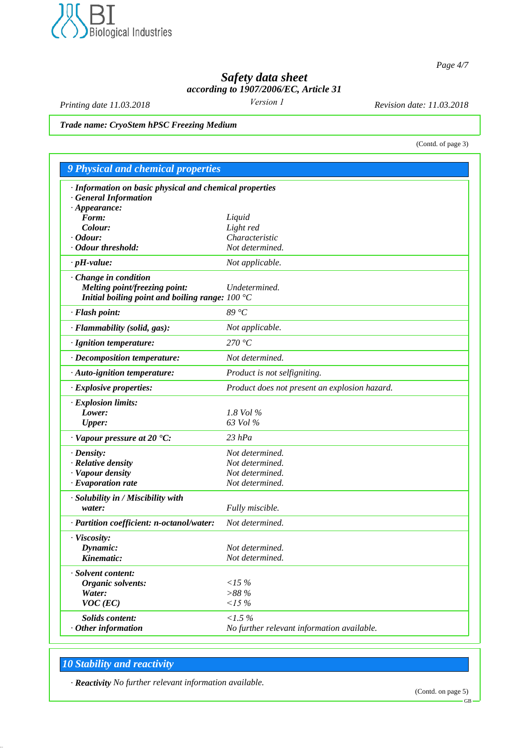

*Page 4/7*

(Contd. of page 3)

# *Safety data sheet according to 1907/2006/EC, Article 31*

*Version 1*

*Printing date 11.03.2018 Revision date: 11.03.2018*

*Trade name: CryoStem hPSC Freezing Medium*

| <b>9 Physical and chemical properties</b>               |                                               |
|---------------------------------------------------------|-----------------------------------------------|
| · Information on basic physical and chemical properties |                                               |
| <b>General Information</b>                              |                                               |
| $\cdot$ Appearance:                                     |                                               |
| Form:                                                   | Liquid                                        |
| Colour:                                                 | Light red                                     |
| $\cdot$ Odour:                                          | Characteristic                                |
| · Odour threshold:                                      | Not determined.                               |
| $\cdot$ pH-value:                                       | Not applicable.                               |
| Change in condition                                     |                                               |
| Melting point/freezing point:                           | Undetermined.                                 |
| Initial boiling point and boiling range: $100 °C$       |                                               |
| · Flash point:                                          | 89 °C                                         |
| · Flammability (solid, gas):                            | Not applicable.                               |
| · Ignition temperature:                                 | 270 °C                                        |
| · Decomposition temperature:                            | Not determined.                               |
| · Auto-ignition temperature:                            | Product is not selfigniting.                  |
| · Explosive properties:                                 | Product does not present an explosion hazard. |
| · Explosion limits:                                     |                                               |
| Lower:                                                  | 1.8 Vol $\%$                                  |
| <b>Upper:</b>                                           | 63 Vol %                                      |
| $\cdot$ Vapour pressure at 20 $\textdegree$ C:          | $23$ $hPa$                                    |
| $\cdot$ Density:                                        | Not determined.                               |
| · Relative density                                      | Not determined.                               |
| · Vapour density                                        | Not determined.                               |
| $\cdot$ Evaporation rate                                | Not determined.                               |
| · Solubility in / Miscibility with                      |                                               |
| water:                                                  | Fully miscible.                               |
| · Partition coefficient: n-octanol/water:               | Not determined.                               |
| · Viscosity:                                            |                                               |
| Dynamic:                                                | Not determined.                               |
| Kinematic:                                              | Not determined.                               |
| · Solvent content:                                      |                                               |
| Organic solvents:                                       | <15%                                          |
| Water:                                                  | >88%                                          |
| $VOC$ (EC)                                              | $15\%$                                        |
| <b>Solids content:</b>                                  | $1.5\%$                                       |
| $\cdot$ Other information                               | No further relevant information available.    |

# *10 Stability and reactivity*

*· Reactivity No further relevant information available.*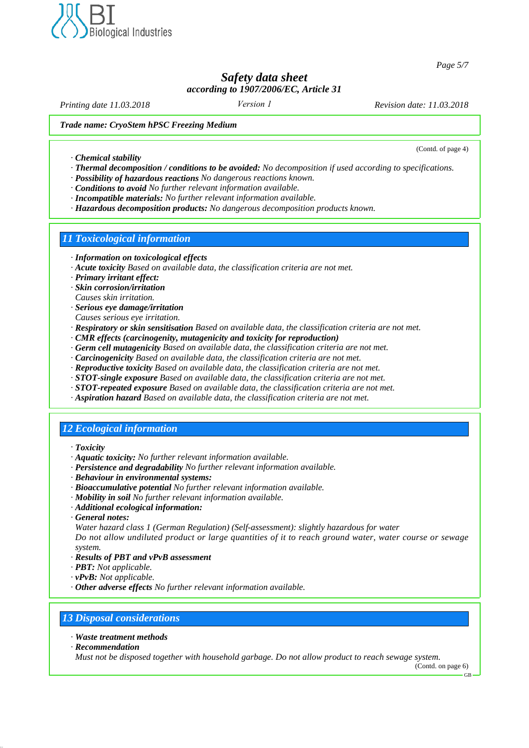

*Page 5/7*

(Contd. of page 4)

## *Safety data sheet according to 1907/2006/EC, Article 31*

*Version 1*

*Printing date 11.03.2018 Revision date: 11.03.2018*

#### *Trade name: CryoStem hPSC Freezing Medium*

*· Chemical stability*

- *· Thermal decomposition / conditions to be avoided: No decomposition if used according to specifications.*
- *· Possibility of hazardous reactions No dangerous reactions known.*
- *· Conditions to avoid No further relevant information available.*
- *· Incompatible materials: No further relevant information available.*
- *· Hazardous decomposition products: No dangerous decomposition products known.*

### *11 Toxicological information*

- *· Information on toxicological effects*
- *· Acute toxicity Based on available data, the classification criteria are not met.*
- *· Primary irritant effect:*
- *· Skin corrosion/irritation*
- *Causes skin irritation.*
- *· Serious eye damage/irritation*
- *Causes serious eye irritation.*
- *· Respiratory or skin sensitisation Based on available data, the classification criteria are not met.*
- *· CMR effects (carcinogenity, mutagenicity and toxicity for reproduction)*
- *· Germ cell mutagenicity Based on available data, the classification criteria are not met.*
- *· Carcinogenicity Based on available data, the classification criteria are not met.*
- *· Reproductive toxicity Based on available data, the classification criteria are not met.*
- *· STOT-single exposure Based on available data, the classification criteria are not met.*
- *· STOT-repeated exposure Based on available data, the classification criteria are not met.*
- *· Aspiration hazard Based on available data, the classification criteria are not met.*

## *12 Ecological information*

- *· Toxicity*
- *· Aquatic toxicity: No further relevant information available.*
- *· Persistence and degradability No further relevant information available.*
- *· Behaviour in environmental systems:*
- *· Bioaccumulative potential No further relevant information available.*
- *· Mobility in soil No further relevant information available.*
- *· Additional ecological information:*
- *· General notes:*

*Water hazard class 1 (German Regulation) (Self-assessment): slightly hazardous for water Do not allow undiluted product or large quantities of it to reach ground water, water course or sewage system.*

- *· Results of PBT and vPvB assessment*
- *· PBT: Not applicable.*
- *· vPvB: Not applicable.*
- *· Other adverse effects No further relevant information available.*

## *13 Disposal considerations*

- *· Waste treatment methods*
- *· Recommendation*

*Must not be disposed together with household garbage. Do not allow product to reach sewage system.*

(Contd. on page 6)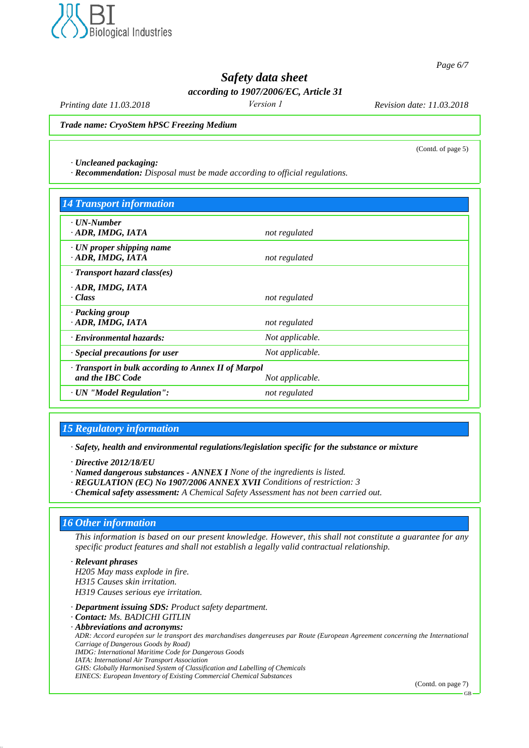

*Page 6/7*

(Contd. of page 5)

# *Safety data sheet*

*according to 1907/2006/EC, Article 31*

*Version 1*

*Printing date 11.03.2018 Revision date: 11.03.2018*

*Trade name: CryoStem hPSC Freezing Medium*

*· Uncleaned packaging:*

*· Recommendation: Disposal must be made according to official regulations.*

| <b>14 Transport information</b>                     |                 |  |
|-----------------------------------------------------|-----------------|--|
| · <b><i>UN-Number</i></b><br>ADR, IMDG, IATA        |                 |  |
|                                                     | not regulated   |  |
| $\cdot$ UN proper shipping name<br>ADR, IMDG, IATA  | not regulated   |  |
| $\cdot$ Transport hazard class(es)                  |                 |  |
| · ADR, IMDG, IATA                                   |                 |  |
| · Class                                             | not regulated   |  |
| · Packing group                                     |                 |  |
| · ADR, IMDG, IATA                                   | not regulated   |  |
| · Environmental hazards:                            | Not applicable. |  |
| $\cdot$ Special precautions for user                | Not applicable. |  |
| · Transport in bulk according to Annex II of Marpol |                 |  |
| and the IBC Code                                    | Not applicable. |  |
| · UN "Model Regulation":                            | not regulated   |  |

## *15 Regulatory information*

*· Safety, health and environmental regulations/legislation specific for the substance or mixture*

*· Directive 2012/18/EU*

*· Named dangerous substances - ANNEX I None of the ingredients is listed.*

- *· REGULATION (EC) No 1907/2006 ANNEX XVII Conditions of restriction: 3*
- *· Chemical safety assessment: A Chemical Safety Assessment has not been carried out.*

## *16 Other information*

*This information is based on our present knowledge. However, this shall not constitute a guarantee for any specific product features and shall not establish a legally valid contractual relationship.*

*· Relevant phrases H205 May mass explode in fire. H315 Causes skin irritation. H319 Causes serious eye irritation. · Department issuing SDS: Product safety department. · Contact: Ms. BADICHI GITLIN · Abbreviations and acronyms: ADR: Accord européen sur le transport des marchandises dangereuses par Route (European Agreement concerning the International Carriage of Dangerous Goods by Road) IMDG: International Maritime Code for Dangerous Goods*

*IATA: International Air Transport Association*

*GHS: Globally Harmonised System of Classification and Labelling of Chemicals*

*EINECS: European Inventory of Existing Commercial Chemical Substances*

(Contd. on page 7)

GB